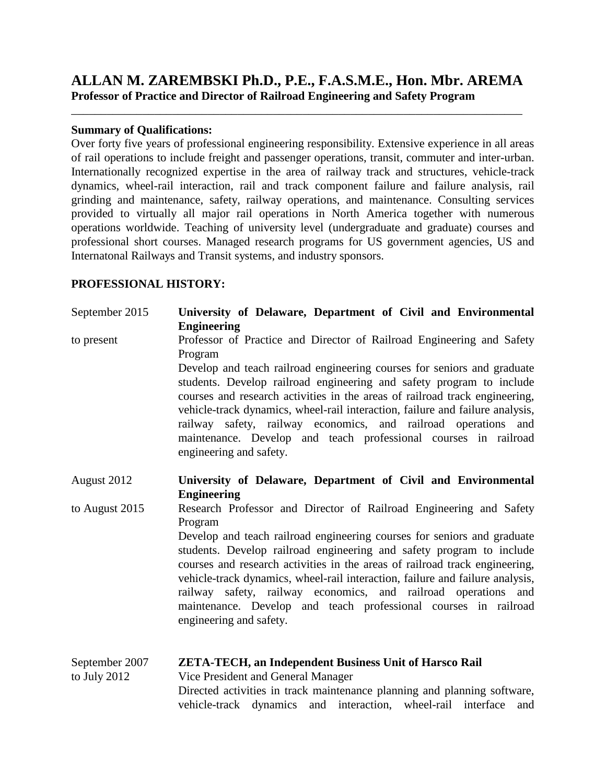# **ALLAN M. ZAREMBSKI Ph.D., P.E., F.A.S.M.E., Hon. Mbr. AREMA Professor of Practice and Director of Railroad Engineering and Safety Program**

\_\_\_\_\_\_\_\_\_\_\_\_\_\_\_\_\_\_\_\_\_\_\_\_\_\_\_\_\_\_\_\_\_\_\_\_\_\_\_\_\_\_\_\_\_\_\_\_\_\_\_\_\_\_\_\_\_\_\_\_\_\_\_\_\_\_\_\_\_\_\_\_\_\_\_\_

#### **Summary of Qualifications:**

Over forty five years of professional engineering responsibility. Extensive experience in all areas of rail operations to include freight and passenger operations, transit, commuter and inter-urban. Internationally recognized expertise in the area of railway track and structures, vehicle-track dynamics, wheel-rail interaction, rail and track component failure and failure analysis, rail grinding and maintenance, safety, railway operations, and maintenance. Consulting services provided to virtually all major rail operations in North America together with numerous operations worldwide. Teaching of university level (undergraduate and graduate) courses and professional short courses. Managed research programs for US government agencies, US and Internatonal Railways and Transit systems, and industry sponsors.

#### **PROFESSIONAL HISTORY:**

September 2015 **University of Delaware, Department of Civil and Environmental Engineering** to present Professor of Practice and Director of Railroad Engineering and Safety Program Develop and teach railroad engineering courses for seniors and graduate students. Develop railroad engineering and safety program to include courses and research activities in the areas of railroad track engineering, vehicle-track dynamics, wheel-rail interaction, failure and failure analysis, railway safety, railway economics, and railroad operations and maintenance. Develop and teach professional courses in railroad engineering and safety.

August 2012 **University of Delaware, Department of Civil and Environmental Engineering**

to August 2015 Research Professor and Director of Railroad Engineering and Safety Program

Develop and teach railroad engineering courses for seniors and graduate students. Develop railroad engineering and safety program to include courses and research activities in the areas of railroad track engineering, vehicle-track dynamics, wheel-rail interaction, failure and failure analysis, railway safety, railway economics, and railroad operations and maintenance. Develop and teach professional courses in railroad engineering and safety.

| September 2007 | <b>ZETA-TECH, an Independent Business Unit of Harsco Rail</b>            |  |
|----------------|--------------------------------------------------------------------------|--|
| to July 2012   | Vice President and General Manager                                       |  |
|                | Directed activities in track maintenance planning and planning software, |  |
|                | vehicle-track dynamics and interaction, wheel-rail interface and         |  |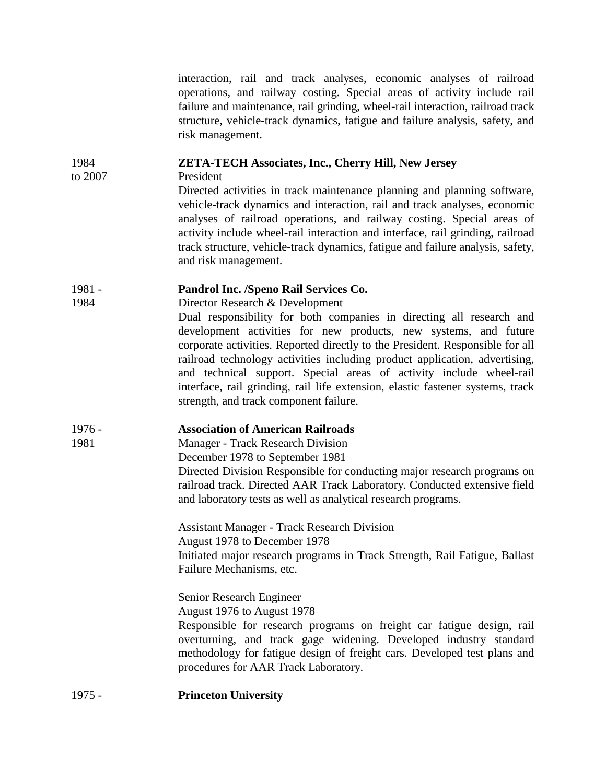interaction, rail and track analyses, economic analyses of railroad operations, and railway costing. Special areas of activity include rail failure and maintenance, rail grinding, wheel-rail interaction, railroad track structure, vehicle-track dynamics, fatigue and failure analysis, safety, and risk management.

## 1984 **ZETA-TECH Associates, Inc., Cherry Hill, New Jersey**

to 2007 President

Directed activities in track maintenance planning and planning software, vehicle-track dynamics and interaction, rail and track analyses, economic analyses of railroad operations, and railway costing. Special areas of activity include wheel-rail interaction and interface, rail grinding, railroad track structure, vehicle-track dynamics, fatigue and failure analysis, safety, and risk management.

## 1981 - **Pandrol Inc. /Speno Rail Services Co.**

1984 Director Research & Development

Dual responsibility for both companies in directing all research and development activities for new products, new systems, and future corporate activities. Reported directly to the President. Responsible for all railroad technology activities including product application, advertising, and technical support. Special areas of activity include wheel-rail interface, rail grinding, rail life extension, elastic fastener systems, track strength, and track component failure.

## 1976 - **Association of American Railroads**

1981 Manager - Track Research Division

December 1978 to September 1981

Directed Division Responsible for conducting major research programs on railroad track. Directed AAR Track Laboratory. Conducted extensive field and laboratory tests as well as analytical research programs.

Assistant Manager - Track Research Division August 1978 to December 1978 Initiated major research programs in Track Strength, Rail Fatigue, Ballast Failure Mechanisms, etc.

Senior Research Engineer

August 1976 to August 1978

Responsible for research programs on freight car fatigue design, rail overturning, and track gage widening. Developed industry standard methodology for fatigue design of freight cars. Developed test plans and procedures for AAR Track Laboratory.

## 1975 - **Princeton University**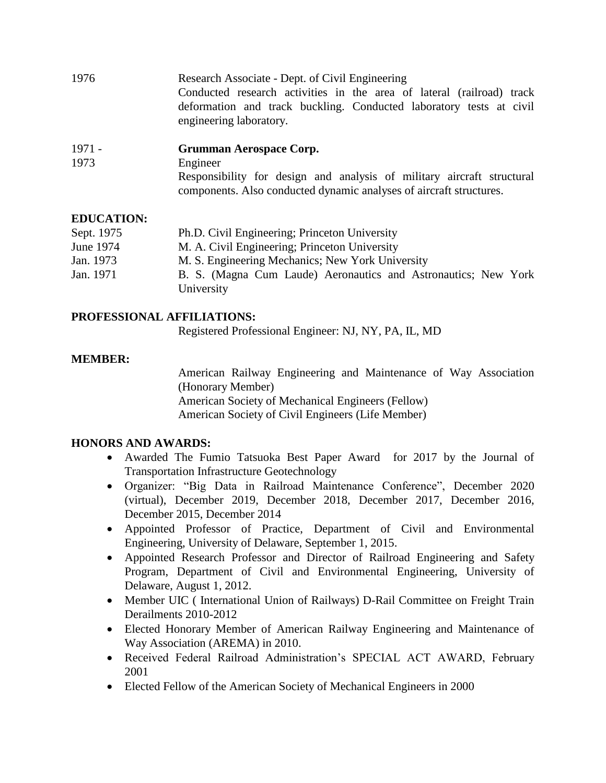- 1976 Research Associate Dept. of Civil Engineering Conducted research activities in the area of lateral (railroad) track deformation and track buckling. Conducted laboratory tests at civil engineering laboratory.
- 1971 **Grumman Aerospace Corp.**
- 1973 Engineer Responsibility for design and analysis of military aircraft structural components. Also conducted dynamic analyses of aircraft structures.

## **EDUCATION:**

| Sept. 1975 | Ph.D. Civil Engineering; Princeton University                  |
|------------|----------------------------------------------------------------|
| June 1974  | M. A. Civil Engineering; Princeton University                  |
| Jan. 1973  | M. S. Engineering Mechanics; New York University               |
| Jan. 1971  | B. S. (Magna Cum Laude) Aeronautics and Astronautics; New York |
|            | University                                                     |

#### **PROFESSIONAL AFFILIATIONS:**

Registered Professional Engineer: NJ, NY, PA, IL, MD

## **MEMBER:**

American Railway Engineering and Maintenance of Way Association (Honorary Member) American Society of Mechanical Engineers (Fellow) American Society of Civil Engineers (Life Member)

## **HONORS AND AWARDS:**

- Awarded The Fumio Tatsuoka Best Paper Award for 2017 by the Journal of Transportation Infrastructure Geotechnology
- Organizer: "Big Data in Railroad Maintenance Conference", December 2020 (virtual), December 2019, December 2018, December 2017, December 2016, December 2015, December 2014
- Appointed Professor of Practice, Department of Civil and Environmental Engineering, University of Delaware, September 1, 2015.
- Appointed Research Professor and Director of Railroad Engineering and Safety Program, Department of Civil and Environmental Engineering, University of Delaware, August 1, 2012.
- Member UIC ( International Union of Railways) D-Rail Committee on Freight Train Derailments 2010-2012
- Elected Honorary Member of American Railway Engineering and Maintenance of Way Association (AREMA) in 2010.
- Received Federal Railroad Administration's SPECIAL ACT AWARD, February 2001
- Elected Fellow of the American Society of Mechanical Engineers in 2000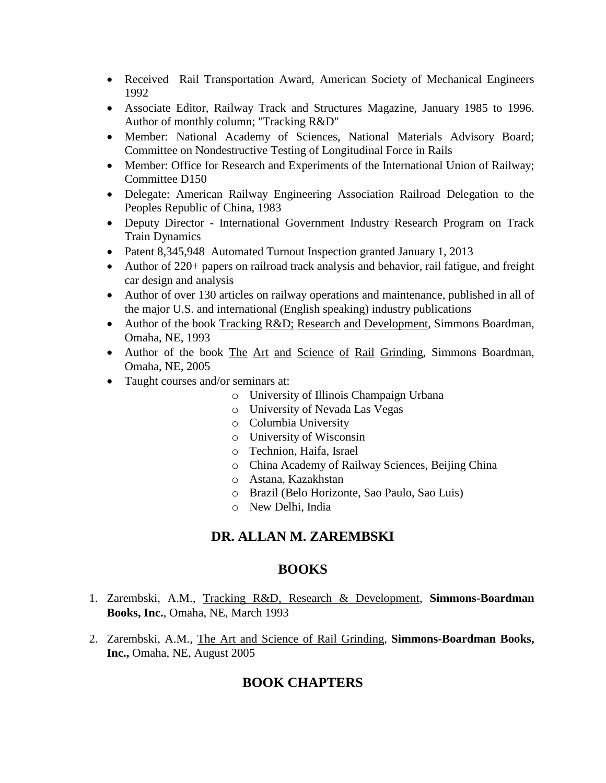- Received Rail Transportation Award, American Society of Mechanical Engineers 1992
- Associate Editor, Railway Track and Structures Magazine, January 1985 to 1996. Author of monthly column; "Tracking R&D"
- Member: National Academy of Sciences, National Materials Advisory Board; Committee on Nondestructive Testing of Longitudinal Force in Rails
- Member: Office for Research and Experiments of the International Union of Railway; Committee D150
- Delegate: American Railway Engineering Association Railroad Delegation to the Peoples Republic of China, 1983
- Deputy Director International Government Industry Research Program on Track Train Dynamics
- Patent 8,345,948 Automated Turnout Inspection granted January 1, 2013
- Author of 220+ papers on railroad track analysis and behavior, rail fatigue, and freight car design and analysis
- Author of over 130 articles on railway operations and maintenance, published in all of the major U.S. and international (English speaking) industry publications
- Author of the book Tracking R&D; Research and Development, Simmons Boardman, Omaha, NE, 1993
- Author of the book The Art and Science of Rail Grinding, Simmons Boardman, Omaha, NE, 2005
- Taught courses and/or seminars at:
	- o University of Illinois Champaign Urbana
	- o University of Nevada Las Vegas
	- o Columbia University
	- o University of Wisconsin
	- o Technion, Haifa, Israel
	- o China Academy of Railway Sciences, Beijing China
	- o Astana, Kazakhstan
	- o Brazil (Belo Horizonte, Sao Paulo, Sao Luis)
	- o New Delhi, India

# **DR. ALLAN M. ZAREMBSKI**

## **BOOKS**

- 1. Zarembski, A.M., Tracking R&D, Research & Development, **Simmons-Boardman Books, Inc.**, Omaha, NE, March 1993
- 2. Zarembski, A.M., The Art and Science of Rail Grinding, **Simmons-Boardman Books, Inc.,** Omaha, NE, August 2005

# **BOOK CHAPTERS**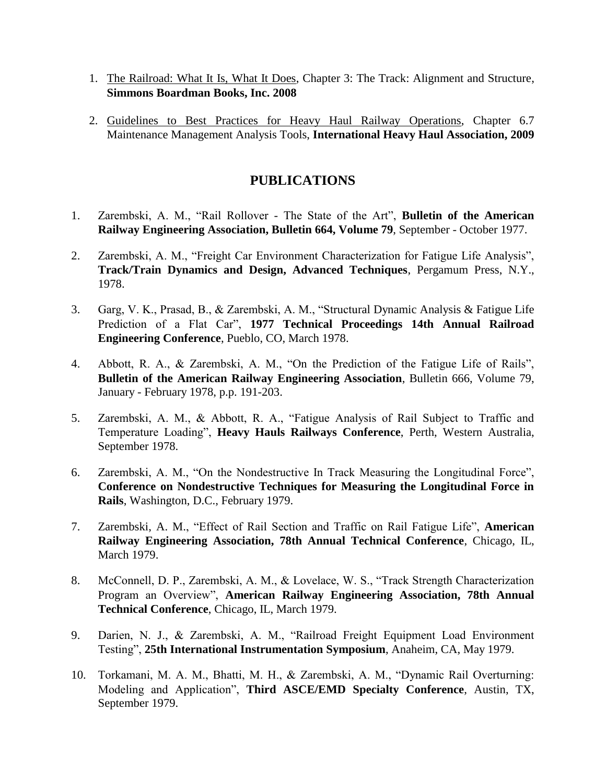- 1. The Railroad: What It Is, What It Does, Chapter 3: The Track: Alignment and Structure, **Simmons Boardman Books, Inc. 2008**
- 2. Guidelines to Best Practices for Heavy Haul Railway Operations, Chapter 6.7 Maintenance Management Analysis Tools, **International Heavy Haul Association, 2009**

# **PUBLICATIONS**

- 1. Zarembski, A. M., "Rail Rollover The State of the Art", **Bulletin of the American Railway Engineering Association, Bulletin 664, Volume 79**, September - October 1977.
- 2. Zarembski, A. M., "Freight Car Environment Characterization for Fatigue Life Analysis", **Track/Train Dynamics and Design, Advanced Techniques**, Pergamum Press, N.Y., 1978.
- 3. Garg, V. K., Prasad, B., & Zarembski, A. M., "Structural Dynamic Analysis & Fatigue Life Prediction of a Flat Car", **1977 Technical Proceedings 14th Annual Railroad Engineering Conference**, Pueblo, CO, March 1978.
- 4. Abbott, R. A., & Zarembski, A. M., "On the Prediction of the Fatigue Life of Rails", **Bulletin of the American Railway Engineering Association**, Bulletin 666, Volume 79, January - February 1978, p.p. 191-203.
- 5. Zarembski, A. M., & Abbott, R. A., "Fatigue Analysis of Rail Subject to Traffic and Temperature Loading", **Heavy Hauls Railways Conference**, Perth, Western Australia, September 1978.
- 6. Zarembski, A. M., "On the Nondestructive In Track Measuring the Longitudinal Force", **Conference on Nondestructive Techniques for Measuring the Longitudinal Force in Rails**, Washington, D.C., February 1979.
- 7. Zarembski, A. M., "Effect of Rail Section and Traffic on Rail Fatigue Life", **American Railway Engineering Association, 78th Annual Technical Conference**, Chicago, IL, March 1979.
- 8. McConnell, D. P., Zarembski, A. M., & Lovelace, W. S., "Track Strength Characterization Program an Overview", **American Railway Engineering Association, 78th Annual Technical Conference**, Chicago, IL, March 1979.
- 9. Darien, N. J., & Zarembski, A. M., "Railroad Freight Equipment Load Environment Testing", **25th International Instrumentation Symposium**, Anaheim, CA, May 1979.
- 10. Torkamani, M. A. M., Bhatti, M. H., & Zarembski, A. M., "Dynamic Rail Overturning: Modeling and Application", **Third ASCE/EMD Specialty Conference**, Austin, TX, September 1979.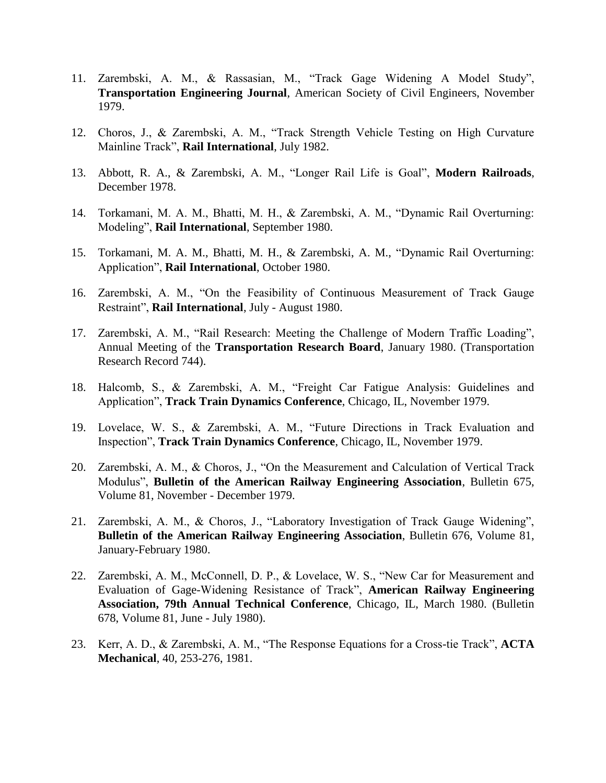- 11. Zarembski, A. M., & Rassasian, M., "Track Gage Widening A Model Study", **Transportation Engineering Journal**, American Society of Civil Engineers, November 1979.
- 12. Choros, J., & Zarembski, A. M., "Track Strength Vehicle Testing on High Curvature Mainline Track", **Rail International**, July 1982.
- 13. Abbott, R. A., & Zarembski, A. M., "Longer Rail Life is Goal", **Modern Railroads**, December 1978.
- 14. Torkamani, M. A. M., Bhatti, M. H., & Zarembski, A. M., "Dynamic Rail Overturning: Modeling", **Rail International**, September 1980.
- 15. Torkamani, M. A. M., Bhatti, M. H., & Zarembski, A. M., "Dynamic Rail Overturning: Application", **Rail International**, October 1980.
- 16. Zarembski, A. M., "On the Feasibility of Continuous Measurement of Track Gauge Restraint", **Rail International**, July - August 1980.
- 17. Zarembski, A. M., "Rail Research: Meeting the Challenge of Modern Traffic Loading", Annual Meeting of the **Transportation Research Board**, January 1980. (Transportation Research Record 744).
- 18. Halcomb, S., & Zarembski, A. M., "Freight Car Fatigue Analysis: Guidelines and Application", **Track Train Dynamics Conference**, Chicago, IL, November 1979.
- 19. Lovelace, W. S., & Zarembski, A. M., "Future Directions in Track Evaluation and Inspection", **Track Train Dynamics Conference**, Chicago, IL, November 1979.
- 20. Zarembski, A. M., & Choros, J., "On the Measurement and Calculation of Vertical Track Modulus", **Bulletin of the American Railway Engineering Association**, Bulletin 675, Volume 81, November - December 1979.
- 21. Zarembski, A. M., & Choros, J., "Laboratory Investigation of Track Gauge Widening", **Bulletin of the American Railway Engineering Association**, Bulletin 676, Volume 81, January-February 1980.
- 22. Zarembski, A. M., McConnell, D. P., & Lovelace, W. S., "New Car for Measurement and Evaluation of Gage-Widening Resistance of Track", **American Railway Engineering Association, 79th Annual Technical Conference**, Chicago, IL, March 1980. (Bulletin 678, Volume 81, June - July 1980).
- 23. Kerr, A. D., & Zarembski, A. M., "The Response Equations for a Cross-tie Track", **ACTA Mechanical**, 40, 253-276, 1981.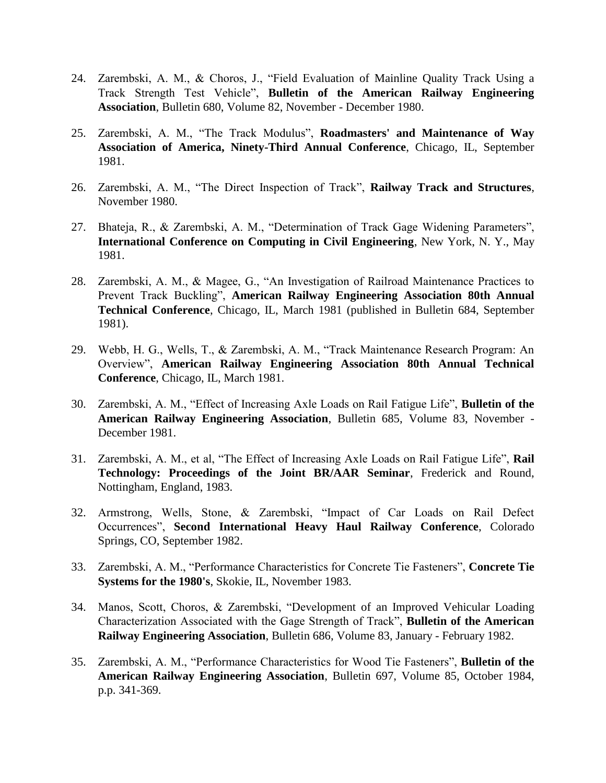- 24. Zarembski, A. M., & Choros, J., "Field Evaluation of Mainline Quality Track Using a Track Strength Test Vehicle", **Bulletin of the American Railway Engineering Association**, Bulletin 680, Volume 82, November - December 1980.
- 25. Zarembski, A. M., "The Track Modulus", **Roadmasters' and Maintenance of Way Association of America, Ninety-Third Annual Conference**, Chicago, IL, September 1981.
- 26. Zarembski, A. M., "The Direct Inspection of Track", **Railway Track and Structures**, November 1980.
- 27. Bhateja, R., & Zarembski, A. M., "Determination of Track Gage Widening Parameters", **International Conference on Computing in Civil Engineering**, New York, N. Y., May 1981.
- 28. Zarembski, A. M., & Magee, G., "An Investigation of Railroad Maintenance Practices to Prevent Track Buckling", **American Railway Engineering Association 80th Annual Technical Conference**, Chicago, IL, March 1981 (published in Bulletin 684, September 1981).
- 29. Webb, H. G., Wells, T., & Zarembski, A. M., "Track Maintenance Research Program: An Overview", **American Railway Engineering Association 80th Annual Technical Conference**, Chicago, IL, March 1981.
- 30. Zarembski, A. M., "Effect of Increasing Axle Loads on Rail Fatigue Life", **Bulletin of the American Railway Engineering Association**, Bulletin 685, Volume 83, November - December 1981.
- 31. Zarembski, A. M., et al, "The Effect of Increasing Axle Loads on Rail Fatigue Life", **Rail Technology: Proceedings of the Joint BR/AAR Seminar**, Frederick and Round, Nottingham, England, 1983.
- 32. Armstrong, Wells, Stone, & Zarembski, "Impact of Car Loads on Rail Defect Occurrences", **Second International Heavy Haul Railway Conference**, Colorado Springs, CO, September 1982.
- 33. Zarembski, A. M., "Performance Characteristics for Concrete Tie Fasteners", **Concrete Tie Systems for the 1980's**, Skokie, IL, November 1983.
- 34. Manos, Scott, Choros, & Zarembski, "Development of an Improved Vehicular Loading Characterization Associated with the Gage Strength of Track", **Bulletin of the American Railway Engineering Association**, Bulletin 686, Volume 83, January - February 1982.
- 35. Zarembski, A. M., "Performance Characteristics for Wood Tie Fasteners", **Bulletin of the American Railway Engineering Association**, Bulletin 697, Volume 85, October 1984, p.p. 341-369.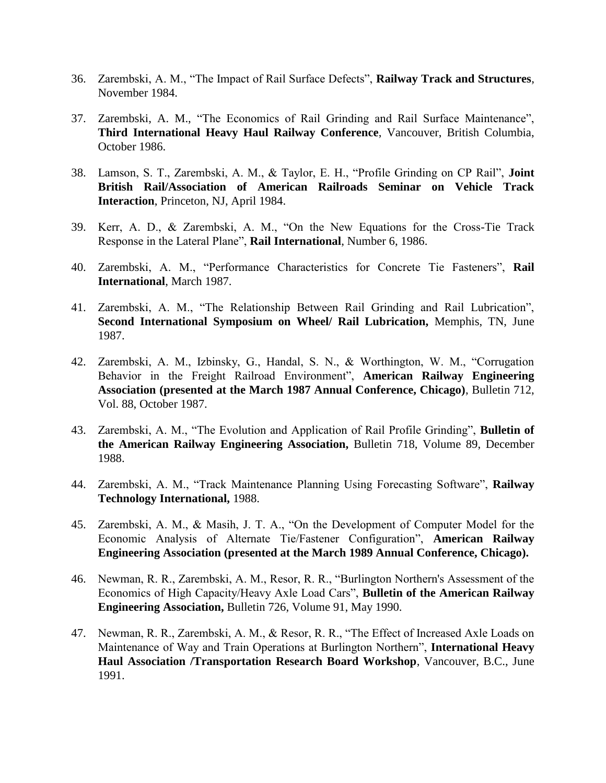- 36. Zarembski, A. M., "The Impact of Rail Surface Defects", **Railway Track and Structures**, November 1984.
- 37. Zarembski, A. M., "The Economics of Rail Grinding and Rail Surface Maintenance", **Third International Heavy Haul Railway Conference**, Vancouver, British Columbia, October 1986.
- 38. Lamson, S. T., Zarembski, A. M., & Taylor, E. H., "Profile Grinding on CP Rail", **Joint British Rail/Association of American Railroads Seminar on Vehicle Track Interaction**, Princeton, NJ, April 1984.
- 39. Kerr, A. D., & Zarembski, A. M., "On the New Equations for the Cross-Tie Track Response in the Lateral Plane", **Rail International**, Number 6, 1986.
- 40. Zarembski, A. M., "Performance Characteristics for Concrete Tie Fasteners", **Rail International**, March 1987.
- 41. Zarembski, A. M., "The Relationship Between Rail Grinding and Rail Lubrication", **Second International Symposium on Wheel/ Rail Lubrication,** Memphis, TN, June 1987.
- 42. Zarembski, A. M., Izbinsky, G., Handal, S. N., & Worthington, W. M., "Corrugation Behavior in the Freight Railroad Environment", **American Railway Engineering Association (presented at the March 1987 Annual Conference, Chicago)**, Bulletin 712, Vol. 88, October 1987.
- 43. Zarembski, A. M., "The Evolution and Application of Rail Profile Grinding", **Bulletin of the American Railway Engineering Association,** Bulletin 718, Volume 89, December 1988.
- 44. Zarembski, A. M., "Track Maintenance Planning Using Forecasting Software", **Railway Technology International,** 1988.
- 45. Zarembski, A. M., & Masih, J. T. A., "On the Development of Computer Model for the Economic Analysis of Alternate Tie/Fastener Configuration", **American Railway Engineering Association (presented at the March 1989 Annual Conference, Chicago).**
- 46. Newman, R. R., Zarembski, A. M., Resor, R. R., "Burlington Northern's Assessment of the Economics of High Capacity/Heavy Axle Load Cars", **Bulletin of the American Railway Engineering Association,** Bulletin 726, Volume 91, May 1990.
- 47. Newman, R. R., Zarembski, A. M., & Resor, R. R., "The Effect of Increased Axle Loads on Maintenance of Way and Train Operations at Burlington Northern", **International Heavy Haul Association /Transportation Research Board Workshop**, Vancouver, B.C., June 1991.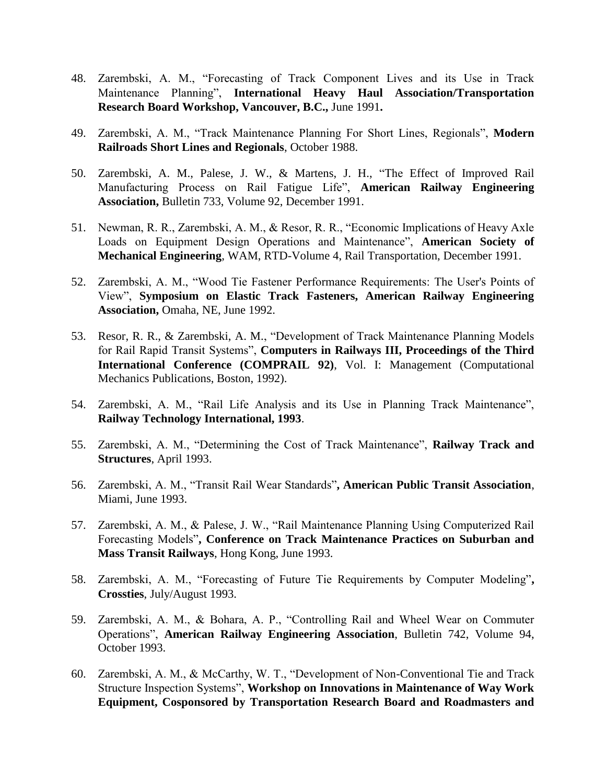- 48. Zarembski, A. M., "Forecasting of Track Component Lives and its Use in Track Maintenance Planning", **International Heavy Haul Association/Transportation Research Board Workshop, Vancouver, B.C.,** June 1991**.**
- 49. Zarembski, A. M., "Track Maintenance Planning For Short Lines, Regionals", **Modern Railroads Short Lines and Regionals**, October 1988.
- 50. Zarembski, A. M., Palese, J. W., & Martens, J. H., "The Effect of Improved Rail Manufacturing Process on Rail Fatigue Life", **American Railway Engineering Association,** Bulletin 733, Volume 92, December 1991.
- 51. Newman, R. R., Zarembski, A. M., & Resor, R. R., "Economic Implications of Heavy Axle Loads on Equipment Design Operations and Maintenance", **American Society of Mechanical Engineering**, WAM, RTD-Volume 4, Rail Transportation, December 1991.
- 52. Zarembski, A. M., "Wood Tie Fastener Performance Requirements: The User's Points of View", **Symposium on Elastic Track Fasteners, American Railway Engineering Association,** Omaha, NE, June 1992.
- 53. Resor, R. R., & Zarembski, A. M., "Development of Track Maintenance Planning Models for Rail Rapid Transit Systems", **Computers in Railways III, Proceedings of the Third International Conference (COMPRAIL 92)**, Vol. I: Management (Computational Mechanics Publications, Boston, 1992).
- 54. Zarembski, A. M., "Rail Life Analysis and its Use in Planning Track Maintenance", **Railway Technology International, 1993**.
- 55. Zarembski, A. M., "Determining the Cost of Track Maintenance", **Railway Track and Structures**, April 1993.
- 56. Zarembski, A. M., "Transit Rail Wear Standards"**, American Public Transit Association**, Miami, June 1993.
- 57. Zarembski, A. M., & Palese, J. W., "Rail Maintenance Planning Using Computerized Rail Forecasting Models"**, Conference on Track Maintenance Practices on Suburban and Mass Transit Railways**, Hong Kong, June 1993.
- 58. Zarembski, A. M., "Forecasting of Future Tie Requirements by Computer Modeling"**, Crossties**, July/August 1993.
- 59. Zarembski, A. M., & Bohara, A. P., "Controlling Rail and Wheel Wear on Commuter Operations", **American Railway Engineering Association**, Bulletin 742, Volume 94, October 1993.
- 60. Zarembski, A. M., & McCarthy, W. T., "Development of Non-Conventional Tie and Track Structure Inspection Systems", **Workshop on Innovations in Maintenance of Way Work Equipment, Cosponsored by Transportation Research Board and Roadmasters and**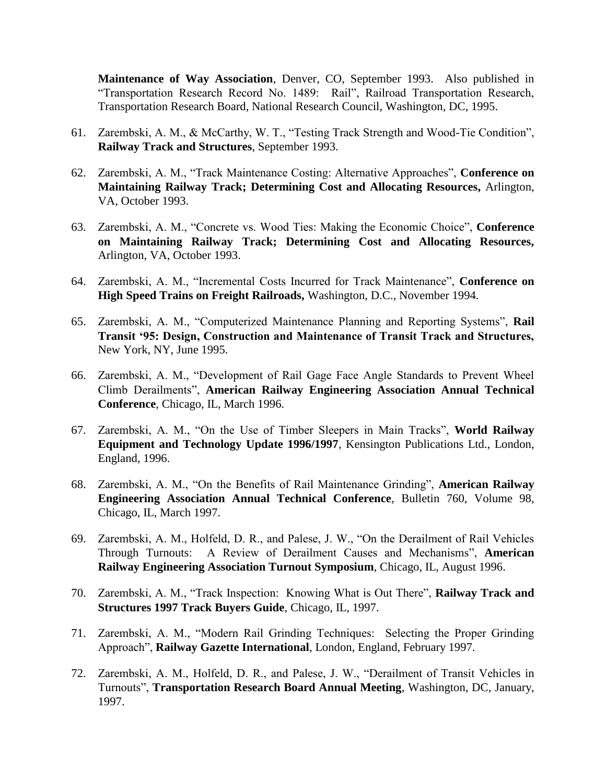**Maintenance of Way Association**, Denver, CO, September 1993. Also published in "Transportation Research Record No. 1489: Rail", Railroad Transportation Research, Transportation Research Board, National Research Council, Washington, DC, 1995.

- 61. Zarembski, A. M., & McCarthy, W. T., "Testing Track Strength and Wood-Tie Condition", **Railway Track and Structures**, September 1993.
- 62. Zarembski, A. M., "Track Maintenance Costing: Alternative Approaches", **Conference on Maintaining Railway Track; Determining Cost and Allocating Resources,** Arlington, VA, October 1993.
- 63. Zarembski, A. M., "Concrete vs. Wood Ties: Making the Economic Choice", **Conference on Maintaining Railway Track; Determining Cost and Allocating Resources,** Arlington, VA, October 1993.
- 64. Zarembski, A. M., "Incremental Costs Incurred for Track Maintenance", **Conference on High Speed Trains on Freight Railroads,** Washington, D.C., November 1994.
- 65. Zarembski, A. M., "Computerized Maintenance Planning and Reporting Systems", **Rail Transit '95: Design, Construction and Maintenance of Transit Track and Structures,** New York, NY, June 1995.
- 66. Zarembski, A. M., "Development of Rail Gage Face Angle Standards to Prevent Wheel Climb Derailments", **American Railway Engineering Association Annual Technical Conference**, Chicago, IL, March 1996.
- 67. Zarembski, A. M., "On the Use of Timber Sleepers in Main Tracks", **World Railway Equipment and Technology Update 1996/1997**, Kensington Publications Ltd., London, England, 1996.
- 68. Zarembski, A. M., "On the Benefits of Rail Maintenance Grinding", **American Railway Engineering Association Annual Technical Conference**, Bulletin 760, Volume 98, Chicago, IL, March 1997.
- 69. Zarembski, A. M., Holfeld, D. R., and Palese, J. W., "On the Derailment of Rail Vehicles Through Turnouts: A Review of Derailment Causes and Mechanisms", **American Railway Engineering Association Turnout Symposium**, Chicago, IL, August 1996.
- 70. Zarembski, A. M., "Track Inspection: Knowing What is Out There", **Railway Track and Structures 1997 Track Buyers Guide**, Chicago, IL, 1997.
- 71. Zarembski, A. M., "Modern Rail Grinding Techniques: Selecting the Proper Grinding Approach", **Railway Gazette International**, London, England, February 1997.
- 72. Zarembski, A. M., Holfeld, D. R., and Palese, J. W., "Derailment of Transit Vehicles in Turnouts", **Transportation Research Board Annual Meeting**, Washington, DC, January, 1997.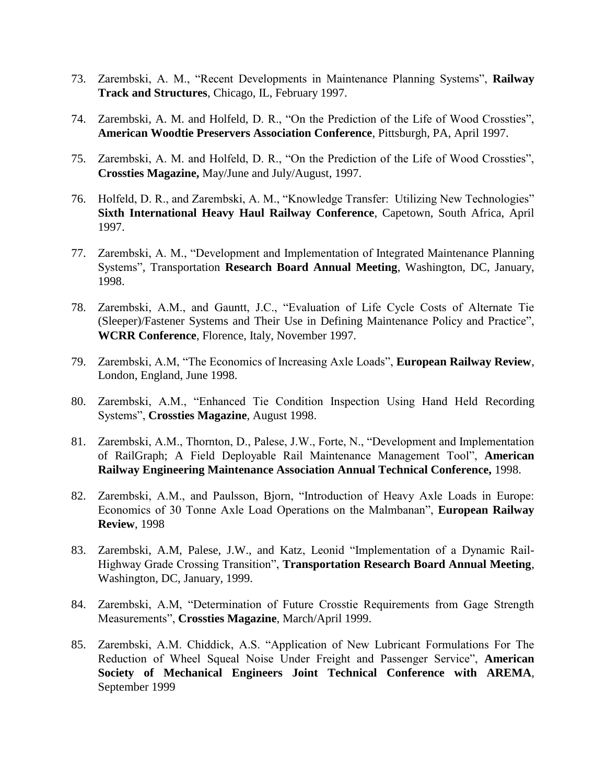- 73. Zarembski, A. M., "Recent Developments in Maintenance Planning Systems", **Railway Track and Structures**, Chicago, IL, February 1997.
- 74. Zarembski, A. M. and Holfeld, D. R., "On the Prediction of the Life of Wood Crossties", **American Woodtie Preservers Association Conference**, Pittsburgh, PA, April 1997.
- 75. Zarembski, A. M. and Holfeld, D. R., "On the Prediction of the Life of Wood Crossties", **Crossties Magazine,** May/June and July/August, 1997.
- 76. Holfeld, D. R., and Zarembski, A. M., "Knowledge Transfer: Utilizing New Technologies" **Sixth International Heavy Haul Railway Conference**, Capetown, South Africa, April 1997.
- 77. Zarembski, A. M., "Development and Implementation of Integrated Maintenance Planning Systems", Transportation **Research Board Annual Meeting**, Washington, DC, January, 1998.
- 78. Zarembski, A.M., and Gauntt, J.C., "Evaluation of Life Cycle Costs of Alternate Tie (Sleeper)/Fastener Systems and Their Use in Defining Maintenance Policy and Practice", **WCRR Conference**, Florence, Italy, November 1997.
- 79. Zarembski, A.M, "The Economics of Increasing Axle Loads", **European Railway Review**, London, England, June 1998.
- 80. Zarembski, A.M., "Enhanced Tie Condition Inspection Using Hand Held Recording Systems", **Crossties Magazine**, August 1998.
- 81. Zarembski, A.M., Thornton, D., Palese, J.W., Forte, N., "Development and Implementation of RailGraph; A Field Deployable Rail Maintenance Management Tool", **American Railway Engineering Maintenance Association Annual Technical Conference,** 1998.
- 82. Zarembski, A.M., and Paulsson, Bjorn, "Introduction of Heavy Axle Loads in Europe: Economics of 30 Tonne Axle Load Operations on the Malmbanan", **European Railway Review**, 1998
- 83. Zarembski, A.M, Palese, J.W., and Katz, Leonid "Implementation of a Dynamic Rail-Highway Grade Crossing Transition", **Transportation Research Board Annual Meeting**, Washington, DC, January, 1999.
- 84. Zarembski, A.M, "Determination of Future Crosstie Requirements from Gage Strength Measurements", **Crossties Magazine**, March/April 1999.
- 85. Zarembski, A.M. Chiddick, A.S. "Application of New Lubricant Formulations For The Reduction of Wheel Squeal Noise Under Freight and Passenger Service", **American Society of Mechanical Engineers Joint Technical Conference with AREMA**, September 1999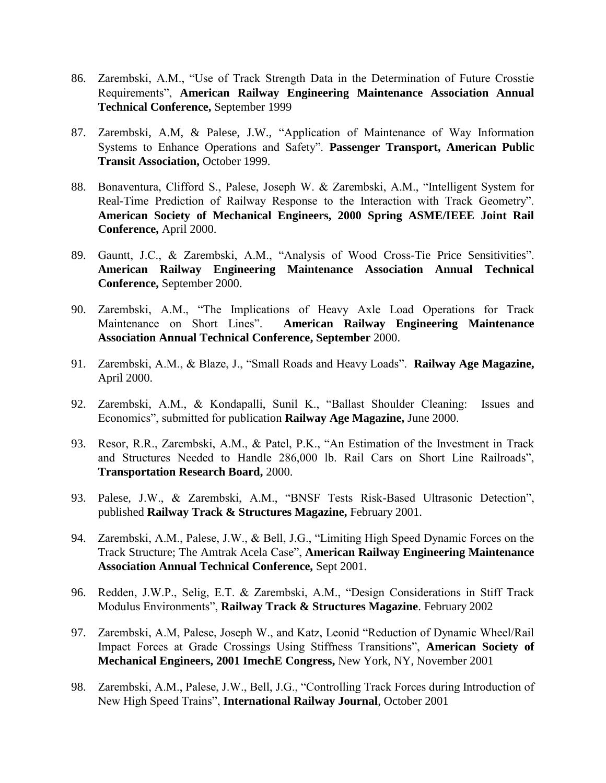- 86. Zarembski, A.M., "Use of Track Strength Data in the Determination of Future Crosstie Requirements", **American Railway Engineering Maintenance Association Annual Technical Conference,** September 1999
- 87. Zarembski, A.M, & Palese, J.W., "Application of Maintenance of Way Information Systems to Enhance Operations and Safety". **Passenger Transport, American Public Transit Association,** October 1999.
- 88. Bonaventura, Clifford S., Palese, Joseph W. & Zarembski, A.M., "Intelligent System for Real-Time Prediction of Railway Response to the Interaction with Track Geometry". **American Society of Mechanical Engineers, 2000 Spring ASME/IEEE Joint Rail Conference,** April 2000.
- 89. Gauntt, J.C., & Zarembski, A.M., "Analysis of Wood Cross-Tie Price Sensitivities". **American Railway Engineering Maintenance Association Annual Technical Conference,** September 2000.
- 90. Zarembski, A.M., "The Implications of Heavy Axle Load Operations for Track Maintenance on Short Lines". **American Railway Engineering Maintenance Association Annual Technical Conference, September** 2000.
- 91. Zarembski, A.M., & Blaze, J., "Small Roads and Heavy Loads". **Railway Age Magazine,**  April 2000.
- 92. Zarembski, A.M., & Kondapalli, Sunil K., "Ballast Shoulder Cleaning: Issues and Economics", submitted for publication **Railway Age Magazine,** June 2000.
- 93. Resor, R.R., Zarembski, A.M., & Patel, P.K., "An Estimation of the Investment in Track and Structures Needed to Handle 286,000 lb. Rail Cars on Short Line Railroads", **Transportation Research Board,** 2000.
- 93. Palese, J.W., & Zarembski, A.M., "BNSF Tests Risk-Based Ultrasonic Detection", published **Railway Track & Structures Magazine,** February 2001.
- 94. Zarembski, A.M., Palese, J.W., & Bell, J.G., "Limiting High Speed Dynamic Forces on the Track Structure; The Amtrak Acela Case", **American Railway Engineering Maintenance Association Annual Technical Conference,** Sept 2001.
- 96. Redden, J.W.P., Selig, E.T. & Zarembski, A.M., "Design Considerations in Stiff Track Modulus Environments", **Railway Track & Structures Magazine**. February 2002
- 97. Zarembski, A.M, Palese, Joseph W., and Katz, Leonid "Reduction of Dynamic Wheel/Rail Impact Forces at Grade Crossings Using Stiffness Transitions", **American Society of Mechanical Engineers, 2001 ImechE Congress,** New York, NY, November 2001
- 98. Zarembski, A.M., Palese, J.W., Bell, J.G., "Controlling Track Forces during Introduction of New High Speed Trains", **International Railway Journal**, October 2001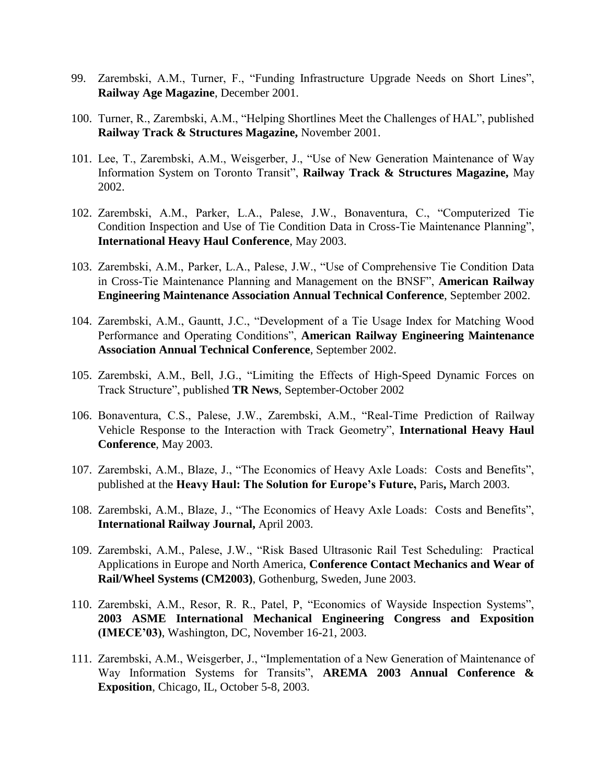- 99. Zarembski, A.M., Turner, F., "Funding Infrastructure Upgrade Needs on Short Lines", **Railway Age Magazine**, December 2001.
- 100. Turner, R., Zarembski, A.M., "Helping Shortlines Meet the Challenges of HAL", published **Railway Track & Structures Magazine,** November 2001.
- 101. Lee, T., Zarembski, A.M., Weisgerber, J., "Use of New Generation Maintenance of Way Information System on Toronto Transit", **Railway Track & Structures Magazine,** May 2002.
- 102. Zarembski, A.M., Parker, L.A., Palese, J.W., Bonaventura, C., "Computerized Tie Condition Inspection and Use of Tie Condition Data in Cross-Tie Maintenance Planning", **International Heavy Haul Conference**, May 2003.
- 103. Zarembski, A.M., Parker, L.A., Palese, J.W., "Use of Comprehensive Tie Condition Data in Cross-Tie Maintenance Planning and Management on the BNSF", **American Railway Engineering Maintenance Association Annual Technical Conference**, September 2002.
- 104. Zarembski, A.M., Gauntt, J.C., "Development of a Tie Usage Index for Matching Wood Performance and Operating Conditions", **American Railway Engineering Maintenance Association Annual Technical Conference**, September 2002.
- 105. Zarembski, A.M., Bell, J.G., "Limiting the Effects of High-Speed Dynamic Forces on Track Structure", published **TR News**, September-October 2002
- 106. Bonaventura, C.S., Palese, J.W., Zarembski, A.M., "Real-Time Prediction of Railway Vehicle Response to the Interaction with Track Geometry", **International Heavy Haul Conference**, May 2003.
- 107. Zarembski, A.M., Blaze, J., "The Economics of Heavy Axle Loads: Costs and Benefits", published at the **Heavy Haul: The Solution for Europe's Future,** Paris**,** March 2003.
- 108. Zarembski, A.M., Blaze, J., "The Economics of Heavy Axle Loads: Costs and Benefits", **International Railway Journal,** April 2003.
- 109. Zarembski, A.M., Palese, J.W., "Risk Based Ultrasonic Rail Test Scheduling: Practical Applications in Europe and North America, **Conference Contact Mechanics and Wear of Rail/Wheel Systems (CM2003)**, Gothenburg, Sweden, June 2003.
- 110. Zarembski, A.M., Resor, R. R., Patel, P, "Economics of Wayside Inspection Systems", **2003 ASME International Mechanical Engineering Congress and Exposition (IMECE'03)**, Washington, DC, November 16-21, 2003.
- 111. Zarembski, A.M., Weisgerber, J., "Implementation of a New Generation of Maintenance of Way Information Systems for Transits", **AREMA 2003 Annual Conference & Exposition**, Chicago, IL, October 5-8, 2003.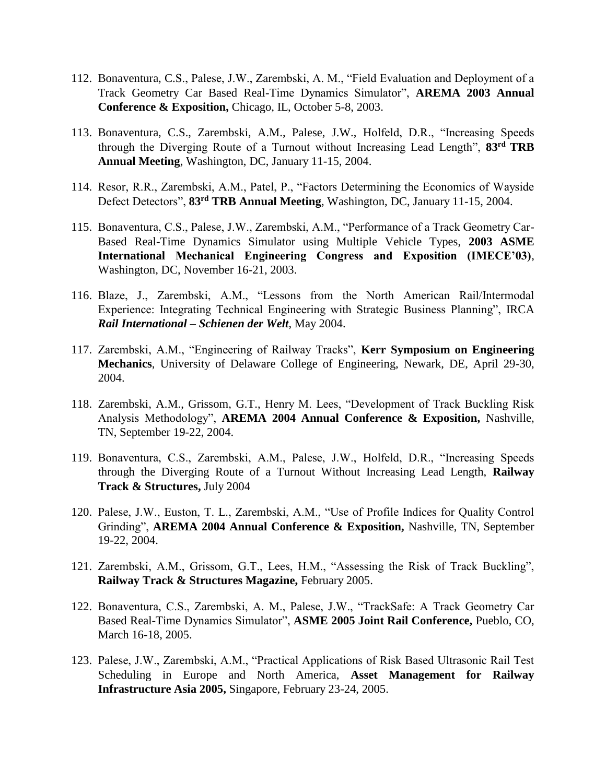- 112. Bonaventura, C.S., Palese, J.W., Zarembski, A. M., "Field Evaluation and Deployment of a Track Geometry Car Based Real-Time Dynamics Simulator", **AREMA 2003 Annual Conference & Exposition,** Chicago, IL, October 5-8, 2003.
- 113. Bonaventura, C.S., Zarembski, A.M., Palese, J.W., Holfeld, D.R., "Increasing Speeds through the Diverging Route of a Turnout without Increasing Lead Length", **83rd TRB Annual Meeting**, Washington, DC, January 11-15, 2004.
- 114. Resor, R.R., Zarembski, A.M., Patel, P., "Factors Determining the Economics of Wayside Defect Detectors", **83rd TRB Annual Meeting**, Washington, DC, January 11-15, 2004.
- 115. Bonaventura, C.S., Palese, J.W., Zarembski, A.M., "Performance of a Track Geometry Car-Based Real-Time Dynamics Simulator using Multiple Vehicle Types, **2003 ASME International Mechanical Engineering Congress and Exposition (IMECE'03)**, Washington, DC, November 16-21, 2003.
- 116. Blaze, J., Zarembski, A.M., "Lessons from the North American Rail/Intermodal Experience: Integrating Technical Engineering with Strategic Business Planning", IRCA *Rail International – Schienen der Welt*, May 2004.
- 117. Zarembski, A.M., "Engineering of Railway Tracks", **Kerr Symposium on Engineering Mechanics**, University of Delaware College of Engineering, Newark, DE, April 29-30, 2004.
- 118. Zarembski, A.M., Grissom, G.T., Henry M. Lees, "Development of Track Buckling Risk Analysis Methodology", **AREMA 2004 Annual Conference & Exposition,** Nashville, TN, September 19-22, 2004.
- 119. Bonaventura, C.S., Zarembski, A.M., Palese, J.W., Holfeld, D.R., "Increasing Speeds through the Diverging Route of a Turnout Without Increasing Lead Length, **Railway Track & Structures,** July 2004
- 120. Palese, J.W., Euston, T. L., Zarembski, A.M., "Use of Profile Indices for Quality Control Grinding", **AREMA 2004 Annual Conference & Exposition,** Nashville, TN, September 19-22, 2004.
- 121. Zarembski, A.M., Grissom, G.T., Lees, H.M., "Assessing the Risk of Track Buckling", **Railway Track & Structures Magazine,** February 2005.
- 122. Bonaventura, C.S., Zarembski, A. M., Palese, J.W., "TrackSafe: A Track Geometry Car Based Real-Time Dynamics Simulator", **ASME 2005 Joint Rail Conference,** Pueblo, CO, March 16-18, 2005.
- 123. Palese, J.W., Zarembski, A.M., "Practical Applications of Risk Based Ultrasonic Rail Test Scheduling in Europe and North America, **Asset Management for Railway Infrastructure Asia 2005,** Singapore, February 23-24, 2005.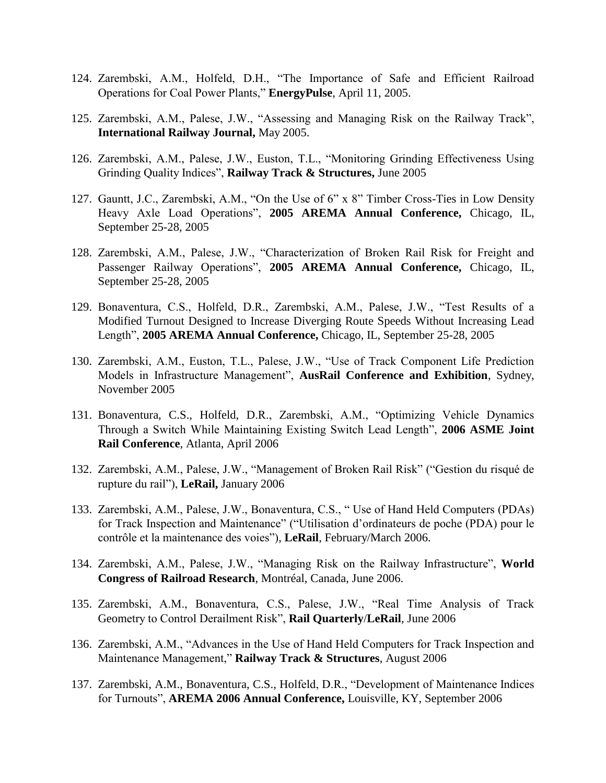- 124. Zarembski, A.M., Holfeld, D.H., "The Importance of Safe and Efficient Railroad Operations for Coal Power Plants," **EnergyPulse**, April 11, 2005.
- 125. Zarembski, A.M., Palese, J.W., "Assessing and Managing Risk on the Railway Track", **International Railway Journal,** May 2005.
- 126. Zarembski, A.M., Palese, J.W., Euston, T.L., "Monitoring Grinding Effectiveness Using Grinding Quality Indices", **Railway Track & Structures,** June 2005
- 127. Gauntt, J.C., Zarembski, A.M., "On the Use of 6" x 8" Timber Cross-Ties in Low Density Heavy Axle Load Operations", **2005 AREMA Annual Conference,** Chicago, IL, September 25-28, 2005
- 128. Zarembski, A.M., Palese, J.W., "Characterization of Broken Rail Risk for Freight and Passenger Railway Operations", **2005 AREMA Annual Conference,** Chicago, IL, September 25-28, 2005
- 129. Bonaventura, C.S., Holfeld, D.R., Zarembski, A.M., Palese, J.W., "Test Results of a Modified Turnout Designed to Increase Diverging Route Speeds Without Increasing Lead Length", **2005 AREMA Annual Conference,** Chicago, IL, September 25-28, 2005
- 130. Zarembski, A.M., Euston, T.L., Palese, J.W., "Use of Track Component Life Prediction Models in Infrastructure Management", **AusRail Conference and Exhibition**, Sydney, November 2005
- 131. Bonaventura, C.S., Holfeld, D.R., Zarembski, A.M., "Optimizing Vehicle Dynamics Through a Switch While Maintaining Existing Switch Lead Length", **2006 ASME Joint Rail Conference**, Atlanta, April 2006
- 132. Zarembski, A.M., Palese, J.W., "Management of Broken Rail Risk" ("Gestion du risqué de rupture du rail"), **LeRail,** January 2006
- 133. Zarembski, A.M., Palese, J.W., Bonaventura, C.S., " Use of Hand Held Computers (PDAs) for Track Inspection and Maintenance" ("Utilisation d'ordinateurs de poche (PDA) pour le contrôle et la maintenance des voies"), **LeRail**, February/March 2006.
- 134. Zarembski, A.M., Palese, J.W., "Managing Risk on the Railway Infrastructure", **World Congress of Railroad Research**, Montréal, Canada, June 2006.
- 135. Zarembski, A.M., Bonaventura, C.S., Palese, J.W., "Real Time Analysis of Track Geometry to Control Derailment Risk", **Rail Quarterly**/**LeRail**, June 2006
- 136. Zarembski, A.M., "Advances in the Use of Hand Held Computers for Track Inspection and Maintenance Management," **Railway Track & Structures**, August 2006
- 137. Zarembski, A.M., Bonaventura, C.S., Holfeld, D.R., "Development of Maintenance Indices for Turnouts", **AREMA 2006 Annual Conference,** Louisville, KY, September 2006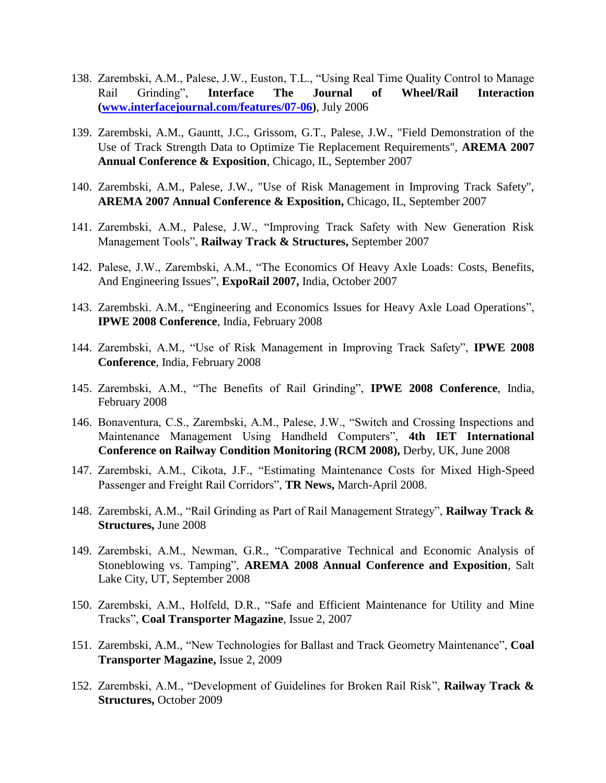- 138. Zarembski, A.M., Palese, J.W., Euston, T.L., "Using Real Time Quality Control to Manage Rail Grinding", **Interface The Journal of Wheel/Rail Interaction [\(www.interfacejournal.com/features/07-06\)](http://www.interfacejournal.com/features/07-06)**, July 2006
- 139. Zarembski, A.M., Gauntt, J.C., Grissom, G.T., Palese, J.W., "Field Demonstration of the Use of Track Strength Data to Optimize Tie Replacement Requirements", **AREMA 2007 Annual Conference & Exposition**, Chicago, IL, September 2007
- 140. Zarembski, A.M., Palese, J.W., "Use of Risk Management in Improving Track Safety", **AREMA 2007 Annual Conference & Exposition,** Chicago, IL, September 2007
- 141. Zarembski, A.M., Palese, J.W., "Improving Track Safety with New Generation Risk Management Tools", **Railway Track & Structures,** September 2007
- 142. Palese, J.W., Zarembski, A.M., "The Economics Of Heavy Axle Loads: Costs, Benefits, And Engineering Issues", **ExpoRail 2007,** India, October 2007
- 143. Zarembski. A.M., "Engineering and Economics Issues for Heavy Axle Load Operations", **IPWE 2008 Conference**, India, February 2008
- 144. Zarembski, A.M., "Use of Risk Management in Improving Track Safety", **IPWE 2008 Conference**, India, February 2008
- 145. Zarembski, A.M., "The Benefits of Rail Grinding", **IPWE 2008 Conference**, India, February 2008
- 146. Bonaventura, C.S., Zarembski, A.M., Palese, J.W., "Switch and Crossing Inspections and Maintenance Management Using Handheld Computers", **4th IET International Conference on Railway Condition Monitoring (RCM 2008),** Derby, UK, June 2008
- 147. Zarembski, A.M., Cikota, J.F., "Estimating Maintenance Costs for Mixed High-Speed Passenger and Freight Rail Corridors", **TR News,** March-April 2008.
- 148. Zarembski, A.M., "Rail Grinding as Part of Rail Management Strategy", **Railway Track & Structures,** June 2008
- 149. Zarembski, A.M., Newman, G.R., "Comparative Technical and Economic Analysis of Stoneblowing vs. Tamping", **AREMA 2008 Annual Conference and Exposition**, Salt Lake City, UT, September 2008
- 150. Zarembski, A.M., Holfeld, D.R., "Safe and Efficient Maintenance for Utility and Mine Tracks", **Coal Transporter Magazine**, Issue 2, 2007
- 151. Zarembski, A.M., "New Technologies for Ballast and Track Geometry Maintenance", **Coal Transporter Magazine,** Issue 2, 2009
- 152. Zarembski, A.M., "Development of Guidelines for Broken Rail Risk", **Railway Track & Structures,** October 2009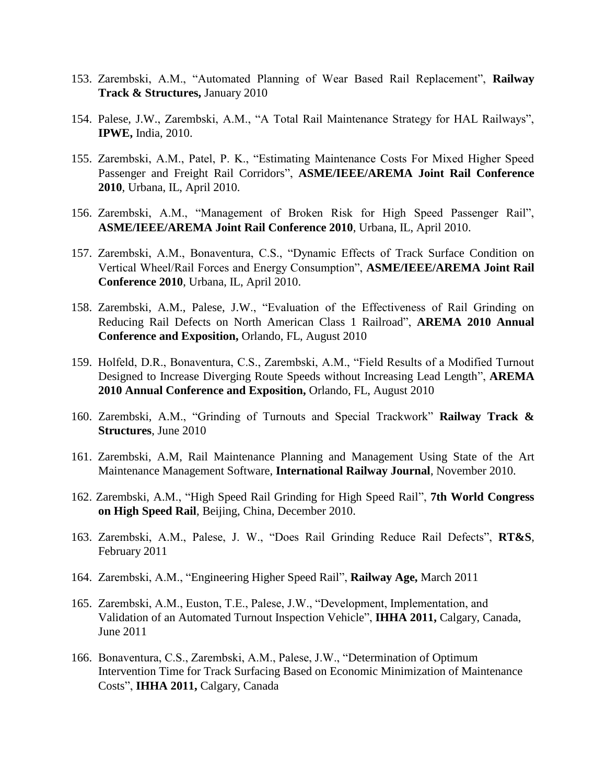- 153. Zarembski, A.M., "Automated Planning of Wear Based Rail Replacement", **Railway Track & Structures,** January 2010
- 154. Palese, J.W., Zarembski, A.M., "A Total Rail Maintenance Strategy for HAL Railways", **IPWE,** India, 2010.
- 155. Zarembski, A.M., Patel, P. K., "Estimating Maintenance Costs For Mixed Higher Speed Passenger and Freight Rail Corridors", **ASME/IEEE/AREMA Joint Rail Conference 2010**, Urbana, IL, April 2010.
- 156. Zarembski, A.M., "Management of Broken Risk for High Speed Passenger Rail", **ASME/IEEE/AREMA Joint Rail Conference 2010**, Urbana, IL, April 2010.
- 157. Zarembski, A.M., Bonaventura, C.S., "Dynamic Effects of Track Surface Condition on Vertical Wheel/Rail Forces and Energy Consumption", **ASME/IEEE/AREMA Joint Rail Conference 2010**, Urbana, IL, April 2010.
- 158. Zarembski, A.M., Palese, J.W., "Evaluation of the Effectiveness of Rail Grinding on Reducing Rail Defects on North American Class 1 Railroad", **AREMA 2010 Annual Conference and Exposition,** Orlando, FL, August 2010
- 159. Holfeld, D.R., Bonaventura, C.S., Zarembski, A.M., "Field Results of a Modified Turnout Designed to Increase Diverging Route Speeds without Increasing Lead Length", **AREMA 2010 Annual Conference and Exposition,** Orlando, FL, August 2010
- 160. Zarembski, A.M., "Grinding of Turnouts and Special Trackwork" **Railway Track & Structures**, June 2010
- 161. Zarembski, A.M, Rail Maintenance Planning and Management Using State of the Art Maintenance Management Software, **International Railway Journal**, November 2010.
- 162. Zarembski, A.M., "High Speed Rail Grinding for High Speed Rail", **7th World Congress on High Speed Rail**, Beijing, China, December 2010.
- 163. Zarembski, A.M., Palese, J. W., "Does Rail Grinding Reduce Rail Defects", **RT&S**, February 2011
- 164. Zarembski, A.M., "Engineering Higher Speed Rail", **Railway Age,** March 2011
- 165. Zarembski, A.M., Euston, T.E., Palese, J.W., "Development, Implementation, and Validation of an Automated Turnout Inspection Vehicle", **IHHA 2011,** Calgary, Canada, June 2011
- 166. Bonaventura, C.S., Zarembski, A.M., Palese, J.W., "Determination of Optimum Intervention Time for Track Surfacing Based on Economic Minimization of Maintenance Costs", **IHHA 2011,** Calgary, Canada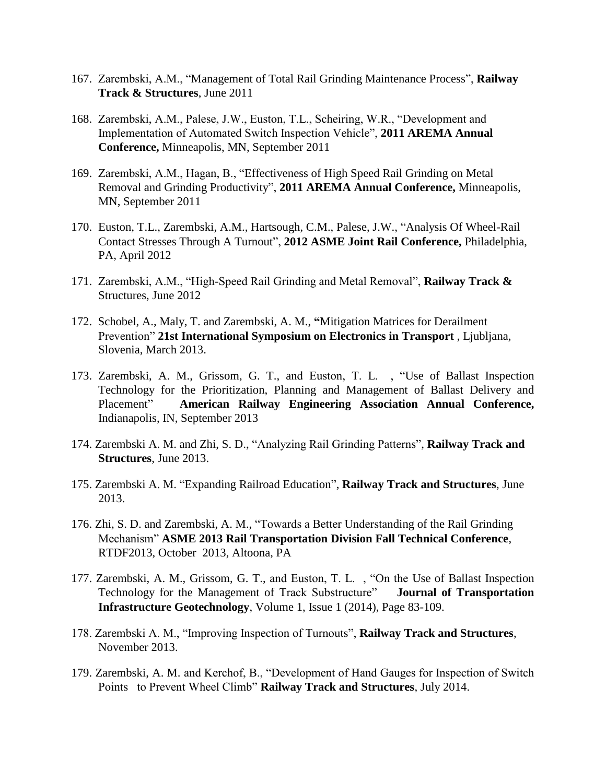- 167. Zarembski, A.M., "Management of Total Rail Grinding Maintenance Process", **Railway Track & Structures**, June 2011
- 168. Zarembski, A.M., Palese, J.W., Euston, T.L., Scheiring, W.R., "Development and Implementation of Automated Switch Inspection Vehicle", **2011 AREMA Annual Conference,** Minneapolis, MN, September 2011
- 169. Zarembski, A.M., Hagan, B., "Effectiveness of High Speed Rail Grinding on Metal Removal and Grinding Productivity", **2011 AREMA Annual Conference,** Minneapolis, MN, September 2011
- 170. Euston, T.L., Zarembski, A.M., Hartsough, C.M., Palese, J.W., "Analysis Of Wheel-Rail Contact Stresses Through A Turnout", **2012 ASME Joint Rail Conference,** Philadelphia, PA, April 2012
- 171. Zarembski, A.M., "High-Speed Rail Grinding and Metal Removal", **Railway Track &**  Structures, June 2012
- 172. Schobel, A., Maly, T. and Zarembski, A. M., **"**Mitigation Matrices for Derailment Prevention" **21st International Symposium on Electronics in Transport** , Ljubljana, Slovenia, March 2013.
- 173. Zarembski, A. M., Grissom, G. T., and Euston, T. L. , "Use of Ballast Inspection Technology for the Prioritization, Planning and Management of Ballast Delivery and Placement" **American Railway Engineering Association Annual Conference,** Indianapolis, IN, September 2013
- 174. Zarembski A. M. and Zhi, S. D., "Analyzing Rail Grinding Patterns", **Railway Track and Structures**, June 2013.
- 175. Zarembski A. M. "Expanding Railroad Education", **Railway Track and Structures**, June 2013.
- 176. Zhi, S. D. and Zarembski, A. M., "Towards a Better Understanding of the Rail Grinding Mechanism" **ASME 2013 Rail Transportation Division Fall Technical Conference**, RTDF2013, October 2013, Altoona, PA
- 177. Zarembski, A. M., Grissom, G. T., and Euston, T. L. , "On the Use of Ballast Inspection Technology for the Management of Track Substructure" **Journal of Transportation Infrastructure Geotechnology**, Volume 1, Issue 1 (2014), Page 83-109.
- 178. Zarembski A. M., "Improving Inspection of Turnouts", **Railway Track and Structures**, November 2013.
- 179. Zarembski, A. M. and Kerchof, B., "Development of Hand Gauges for Inspection of Switch Points to Prevent Wheel Climb" **Railway Track and Structures**, July 2014.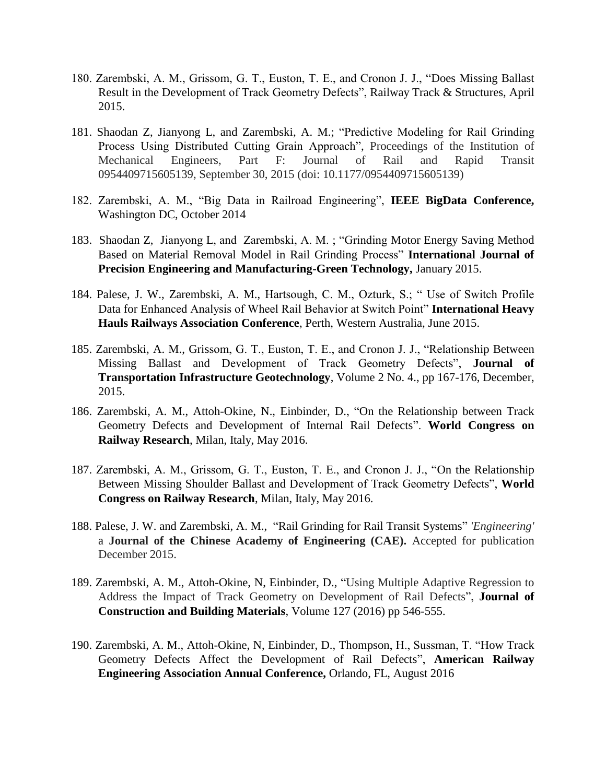- 180. Zarembski, A. M., Grissom, G. T., Euston, T. E., and Cronon J. J., "Does Missing Ballast Result in the Development of Track Geometry Defects", Railway Track & Structures, April 2015.
- 181. Shaodan Z, Jianyong L, and Zarembski, A. M.; "Predictive Modeling for Rail Grinding Process Using Distributed Cutting Grain Approach", Proceedings of the Institution of Mechanical Engineers, Part F: Journal of Rail and Rapid Transit 0954409715605139, September 30, 2015 (doi: 10.1177/0954409715605139)
- 182. Zarembski, A. M., "Big Data in Railroad Engineering", **IEEE BigData Conference,** Washington DC, October 2014
- 183. Shaodan Z, Jianyong L, and Zarembski, A. M. ; "Grinding Motor Energy Saving Method Based on Material Removal Model in Rail Grinding Process" **International Journal of Precision Engineering and Manufacturing-Green Technology,** January 2015.
- 184. Palese, J. W., Zarembski, A. M., Hartsough, C. M., Ozturk, S.; " Use of Switch Profile Data for Enhanced Analysis of Wheel Rail Behavior at Switch Point" **International Heavy Hauls Railways Association Conference**, Perth, Western Australia, June 2015.
- 185. Zarembski, A. M., Grissom, G. T., Euston, T. E., and Cronon J. J., "Relationship Between Missing Ballast and Development of Track Geometry Defects", **Journal of Transportation Infrastructure Geotechnology**, Volume 2 No. 4., pp 167-176, December, 2015.
- 186. Zarembski, A. M., Attoh-Okine, N., Einbinder, D., "On the Relationship between Track Geometry Defects and Development of Internal Rail Defects". **World Congress on Railway Research**, Milan, Italy, May 2016.
- 187. Zarembski, A. M., Grissom, G. T., Euston, T. E., and Cronon J. J., "On the Relationship Between Missing Shoulder Ballast and Development of Track Geometry Defects", **World Congress on Railway Research**, Milan, Italy, May 2016.
- 188. Palese, J. W. and Zarembski, A. M., "Rail Grinding for Rail Transit Systems" *'Engineering'* a **Journal of the Chinese Academy of Engineering (CAE).** Accepted for publication December 2015.
- 189. Zarembski, A. M., Attoh-Okine, N, Einbinder, D., "Using Multiple Adaptive Regression to Address the Impact of Track Geometry on Development of Rail Defects", **Journal of Construction and Building Materials**, Volume 127 (2016) pp 546-555.
- 190. Zarembski, A. M., Attoh-Okine, N, Einbinder, D., Thompson, H., Sussman, T. "How Track Geometry Defects Affect the Development of Rail Defects", **American Railway Engineering Association Annual Conference,** Orlando, FL, August 2016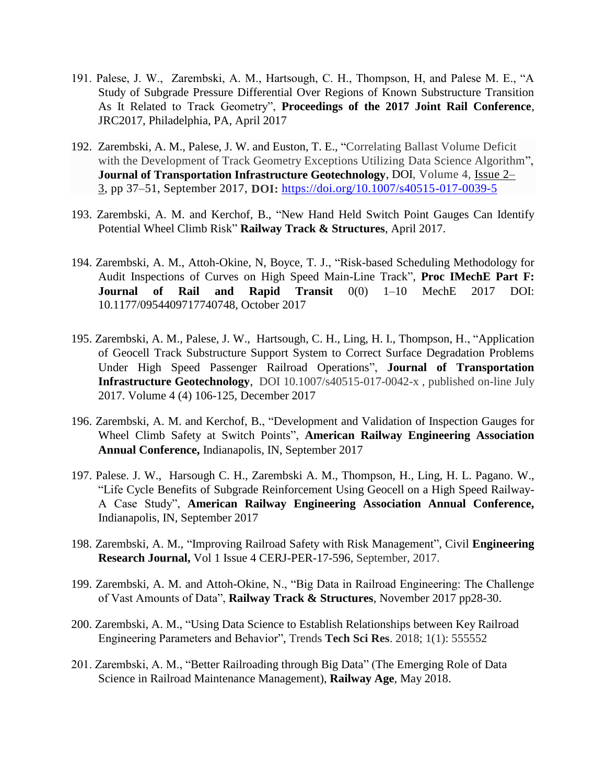- 191. Palese, J. W., Zarembski, A. M., Hartsough, C. H., Thompson, H, and Palese M. E., "A Study of Subgrade Pressure Differential Over Regions of Known Substructure Transition As It Related to Track Geometry", **Proceedings of the 2017 Joint Rail Conference**, JRC2017, Philadelphia, PA, April 2017
- 192. Zarembski, A. M., Palese, J. W. and Euston, T. E., "Correlating Ballast Volume Deficit with the Development of Track Geometry Exceptions Utilizing Data Science Algorithm", **Journal of Transportation Infrastructure Geotechnology**, DOI, Volume 4, [Issue](https://link.springer.com/journal/40515/4/2/page/1) 2– [3,](https://link.springer.com/journal/40515/4/2/page/1) pp 37–51, September 2017, **DOI:** <https://doi.org/10.1007/s40515-017-0039-5>
- 193. Zarembski, A. M. and Kerchof, B., "New Hand Held Switch Point Gauges Can Identify Potential Wheel Climb Risk" **Railway Track & Structures**, April 2017.
- 194. Zarembski, A. M., Attoh-Okine, N, Boyce, T. J., "Risk-based Scheduling Methodology for Audit Inspections of Curves on High Speed Main-Line Track", **Proc IMechE Part F: Journal of Rail and Rapid Transit** 0(0) 1–10 MechE 2017 DOI: 10.1177/0954409717740748, October 2017
- 195. Zarembski, A. M., Palese, J. W., Hartsough, C. H., Ling, H. I., Thompson, H., "Application of Geocell Track Substructure Support System to Correct Surface Degradation Problems Under High Speed Passenger Railroad Operations", **Journal of Transportation Infrastructure Geotechnology**, DOI 10.1007/s40515-017-0042-x , published on-line July 2017. Volume 4 (4) 106-125, December 2017
- 196. Zarembski, A. M. and Kerchof, B., "Development and Validation of Inspection Gauges for Wheel Climb Safety at Switch Points", **American Railway Engineering Association Annual Conference,** Indianapolis, IN, September 2017
- 197. Palese. J. W., Harsough C. H., Zarembski A. M., Thompson, H., Ling, H. L. Pagano. W., "Life Cycle Benefits of Subgrade Reinforcement Using Geocell on a High Speed Railway-A Case Study", **American Railway Engineering Association Annual Conference,** Indianapolis, IN, September 2017
- 198. Zarembski, A. M., "Improving Railroad Safety with Risk Management", Civil **Engineering Research Journal,** Vol 1 Issue 4 CERJ-PER-17-596, September, 2017.
- 199. Zarembski, A. M. and Attoh-Okine, N., "Big Data in Railroad Engineering: The Challenge of Vast Amounts of Data", **Railway Track & Structures**, November 2017 pp28-30.
- 200. Zarembski, A. M., "Using Data Science to Establish Relationships between Key Railroad Engineering Parameters and Behavior", Trends **Tech Sci Res**. 2018; 1(1): 555552
- 201. Zarembski, A. M., "Better Railroading through Big Data" (The Emerging Role of Data Science in Railroad Maintenance Management), **Railway Age**, May 2018.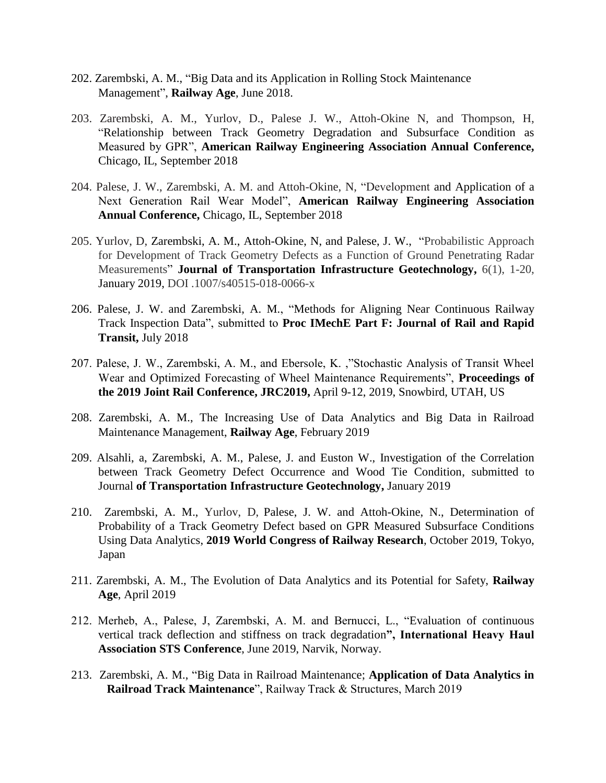- 202. Zarembski, A. M., "Big Data and its Application in Rolling Stock Maintenance Management", **Railway Age**, June 2018.
- 203. Zarembski, A. M., Yurlov, D., Palese J. W., Attoh-Okine N, and Thompson, H, "Relationship between Track Geometry Degradation and Subsurface Condition as Measured by GPR", **American Railway Engineering Association Annual Conference,** Chicago, IL, September 2018
- 204. Palese, J. W., Zarembski, A. M. and Attoh-Okine, N, "Development and Application of a Next Generation Rail Wear Model", **American Railway Engineering Association Annual Conference,** Chicago, IL, September 2018
- 205. Yurlov, D, Zarembski, A. M., Attoh-Okine, N, and Palese, J. W., "Probabilistic Approach for Development of Track Geometry Defects as a Function of Ground Penetrating Radar Measurements" **Journal of Transportation Infrastructure Geotechnology,** 6(1), 1-20, January 2019, DOI .1007/s40515-018-0066-x
- 206. Palese, J. W. and Zarembski, A. M., "Methods for Aligning Near Continuous Railway Track Inspection Data", submitted to **Proc IMechE Part F: Journal of Rail and Rapid Transit,** July 2018
- 207. Palese, J. W., Zarembski, A. M., and Ebersole, K. ,"Stochastic Analysis of Transit Wheel Wear and Optimized Forecasting of Wheel Maintenance Requirements", **Proceedings of the 2019 Joint Rail Conference, JRC2019,** April 9-12, 2019, Snowbird, UTAH, US
- 208. Zarembski, A. M., The Increasing Use of Data Analytics and Big Data in Railroad Maintenance Management, **Railway Age**, February 2019
- 209. Alsahli, a, Zarembski, A. M., Palese, J. and Euston W., Investigation of the Correlation between Track Geometry Defect Occurrence and Wood Tie Condition, submitted to Journal **of Transportation Infrastructure Geotechnology,** January 2019
- 210. Zarembski, A. M., Yurlov, D, Palese, J. W. and Attoh-Okine, N., Determination of Probability of a Track Geometry Defect based on GPR Measured Subsurface Conditions Using Data Analytics, **2019 World Congress of Railway Research**, October 2019, Tokyo, Japan
- 211. Zarembski, A. M., The Evolution of Data Analytics and its Potential for Safety, **Railway Age**, April 2019
- 212. Merheb, A., Palese, J, Zarembski, A. M. and Bernucci, L., "Evaluation of continuous vertical track deflection and stiffness on track degradation**", International Heavy Haul Association STS Conference**, June 2019, Narvik, Norway.
- 213. Zarembski, A. M., "Big Data in Railroad Maintenance; **Application of Data Analytics in Railroad Track Maintenance**", Railway Track & Structures, March 2019